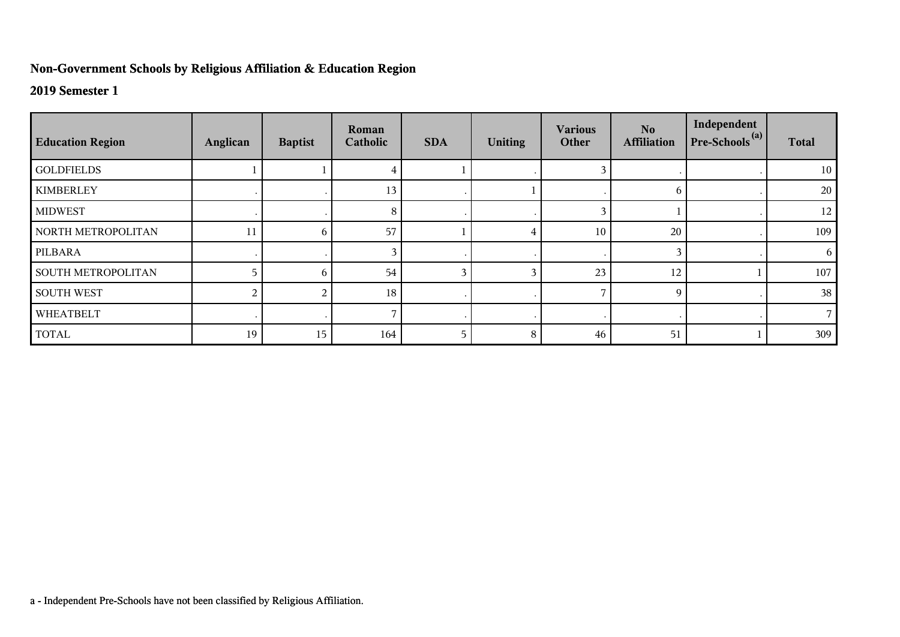## **Non-Government Schools by Religious Affiliation & Education Region**

## **2019 Semester 1**

| <b>Education Region</b> | Anglican | <b>Baptist</b> | Roman<br>Catholic | <b>SDA</b> | <b>Uniting</b> | <b>Various</b><br>Other | N <sub>o</sub><br><b>Affiliation</b> | Independent<br>Pre-Schools <sup>(a)</sup> | <b>Total</b> |
|-------------------------|----------|----------------|-------------------|------------|----------------|-------------------------|--------------------------------------|-------------------------------------------|--------------|
| <b>GOLDFIELDS</b>       |          |                |                   |            |                |                         |                                      |                                           | 10           |
| <b>KIMBERLEY</b>        |          |                | 13                |            |                |                         | 6                                    |                                           | 20           |
| <b>MIDWEST</b>          |          |                | 8                 |            |                | $\mathbf{3}$            |                                      |                                           | 12           |
| NORTH METROPOLITAN      | 11       | 6              | 57                |            |                | 10                      | 20                                   |                                           | 109          |
| PILBARA                 |          |                |                   |            |                |                         | 3                                    |                                           | 6            |
| SOUTH METROPOLITAN      |          | 6              | 54                | 3          |                | 23                      | 12                                   |                                           | 107          |
| <b>SOUTH WEST</b>       |          |                | 18                |            |                |                         | 9                                    |                                           | 38           |
| WHEATBELT               |          |                |                   |            |                |                         |                                      |                                           |              |
| <b>TOTAL</b>            | 19       | 15             | 164               | 5          | 8              | 46                      | 51                                   |                                           | 309          |